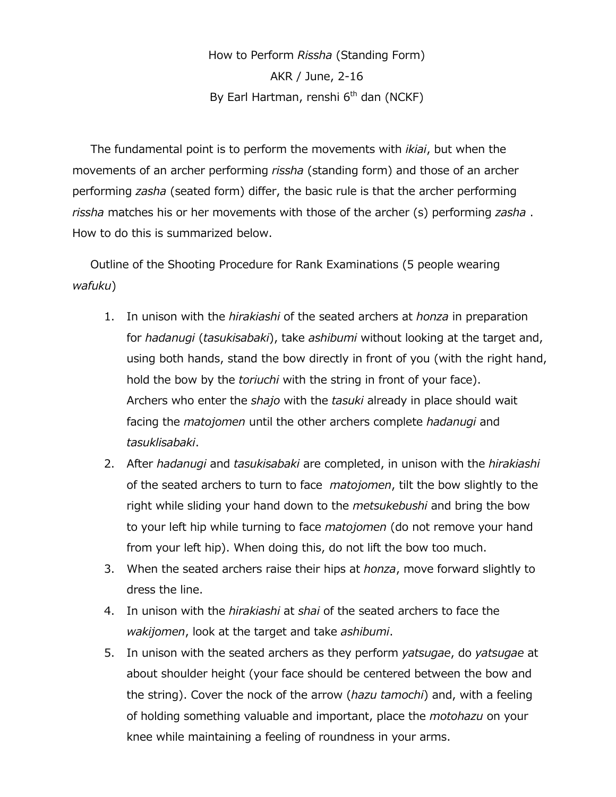How to Perform *Rissha* (Standing Form) AKR / June, 2-16 By Earl Hartman, renshi 6<sup>th</sup> dan (NCKF)

The fundamental point is to perform the movements with *ikiai*, but when the movements of an archer performing *rissha* (standing form) and those of an archer performing *zasha* (seated form) differ, the basic rule is that the archer performing *rissha* matches his or her movements with those of the archer (s) performing *zasha* . How to do this is summarized below.

Outline of the Shooting Procedure for Rank Examinations (5 people wearing *wafuku*)

- 1. In unison with the *hirakiashi* of the seated archers at *honza* in preparation for *hadanugi* (*tasukisabaki*), take *ashibumi* without looking at the target and, using both hands, stand the bow directly in front of you (with the right hand, hold the bow by the *toriuchi* with the string in front of your face). Archers who enter the *shajo* with the *tasuki* already in place should wait facing the *matojomen* until the other archers complete *hadanugi* and *tasuklisabaki*.
- 2. After *hadanugi* and *tasukisabaki* are completed, in unison with the *hirakiashi* of the seated archers to turn to face *matojomen*, tilt the bow slightly to the right while sliding your hand down to the *metsukebushi* and bring the bow to your left hip while turning to face *matojomen* (do not remove your hand from your left hip). When doing this, do not lift the bow too much.
- 3. When the seated archers raise their hips at *honza*, move forward slightly to dress the line.
- 4. In unison with the *hirakiashi* at *shai* of the seated archers to face the *wakijomen*, look at the target and take *ashibumi*.
- 5. In unison with the seated archers as they perform *yatsugae*, do *yatsugae* at about shoulder height (your face should be centered between the bow and the string). Cover the nock of the arrow (*hazu tamochi*) and, with a feeling of holding something valuable and important, place the *motohazu* on your knee while maintaining a feeling of roundness in your arms.